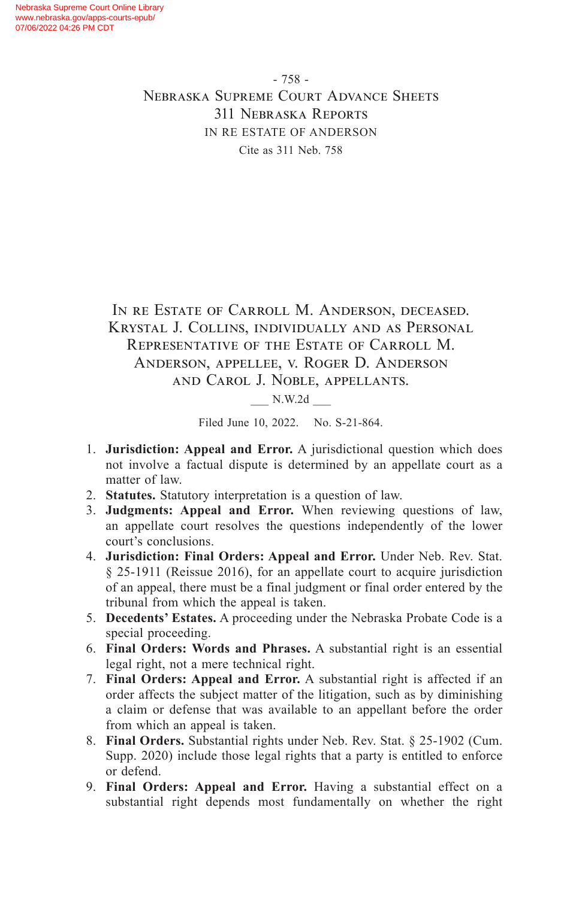- 758 - Nebraska Supreme Court Advance Sheets 311 Nebraska Reports IN RE ESTATE OF ANDERSON Cite as 311 Neb. 758

In re Estate of Carroll M. Anderson, deceased. Krystal J. Collins, individually and as Personal Representative of the Estate of Carroll M. Anderson, appellee, v. Roger D. Anderson and Carol J. Noble, appellants.

\_\_\_ N.W.2d \_\_\_

Filed June 10, 2022. No. S-21-864.

- 1. **Jurisdiction: Appeal and Error.** A jurisdictional question which does not involve a factual dispute is determined by an appellate court as a matter of law.
- 2. **Statutes.** Statutory interpretation is a question of law.
- 3. **Judgments: Appeal and Error.** When reviewing questions of law, an appellate court resolves the questions independently of the lower court's conclusions.
- 4. **Jurisdiction: Final Orders: Appeal and Error.** Under Neb. Rev. Stat. § 25-1911 (Reissue 2016), for an appellate court to acquire jurisdiction of an appeal, there must be a final judgment or final order entered by the tribunal from which the appeal is taken.
- 5. **Decedents' Estates.** A proceeding under the Nebraska Probate Code is a special proceeding.
- 6. **Final Orders: Words and Phrases.** A substantial right is an essential legal right, not a mere technical right.
- 7. **Final Orders: Appeal and Error.** A substantial right is affected if an order affects the subject matter of the litigation, such as by diminishing a claim or defense that was available to an appellant before the order from which an appeal is taken.
- 8. **Final Orders.** Substantial rights under Neb. Rev. Stat. § 25-1902 (Cum. Supp. 2020) include those legal rights that a party is entitled to enforce or defend.
- 9. **Final Orders: Appeal and Error.** Having a substantial effect on a substantial right depends most fundamentally on whether the right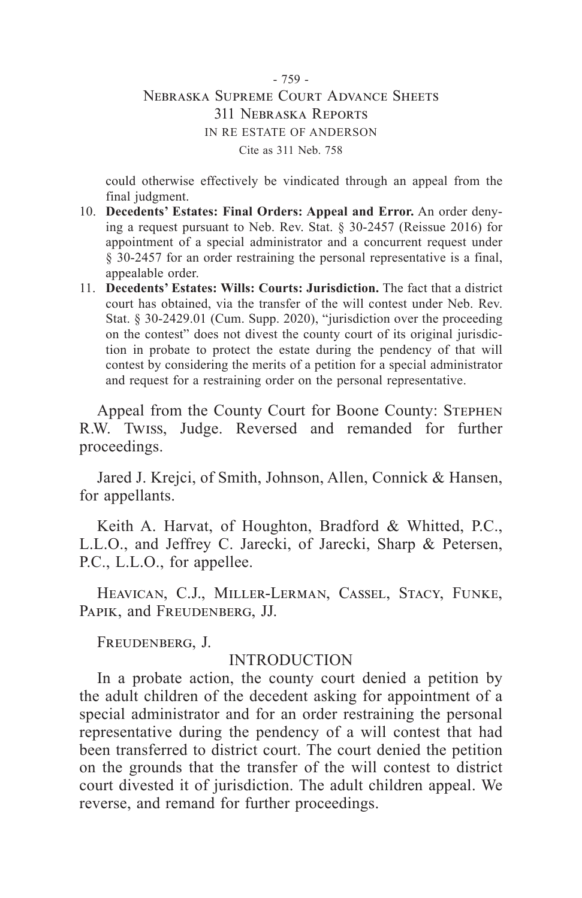## - 759 - Nebraska Supreme Court Advance Sheets 311 Nebraska Reports IN RE ESTATE OF ANDERSON Cite as 311 Neb. 758

could otherwise effectively be vindicated through an appeal from the final judgment.

- 10. **Decedents' Estates: Final Orders: Appeal and Error.** An order denying a request pursuant to Neb. Rev. Stat. § 30-2457 (Reissue 2016) for appointment of a special administrator and a concurrent request under § 30-2457 for an order restraining the personal representative is a final, appealable order.
- 11. **Decedents' Estates: Wills: Courts: Jurisdiction.** The fact that a district court has obtained, via the transfer of the will contest under Neb. Rev. Stat. § 30-2429.01 (Cum. Supp. 2020), "jurisdiction over the proceeding on the contest" does not divest the county court of its original jurisdiction in probate to protect the estate during the pendency of that will contest by considering the merits of a petition for a special administrator and request for a restraining order on the personal representative.

Appeal from the County Court for Boone County: Stephen R.W. Twiss, Judge. Reversed and remanded for further proceedings.

Jared J. Krejci, of Smith, Johnson, Allen, Connick & Hansen, for appellants.

Keith A. Harvat, of Houghton, Bradford & Whitted, P.C., L.L.O., and Jeffrey C. Jarecki, of Jarecki, Sharp & Petersen, P.C., L.L.O., for appellee.

Heavican, C.J., Miller-Lerman, Cassel, Stacy, Funke, PAPIK, and FREUDENBERG, JJ.

Freudenberg, J.

## INTRODUCTION

In a probate action, the county court denied a petition by the adult children of the decedent asking for appointment of a special administrator and for an order restraining the personal representative during the pendency of a will contest that had been transferred to district court. The court denied the petition on the grounds that the transfer of the will contest to district court divested it of jurisdiction. The adult children appeal. We reverse, and remand for further proceedings.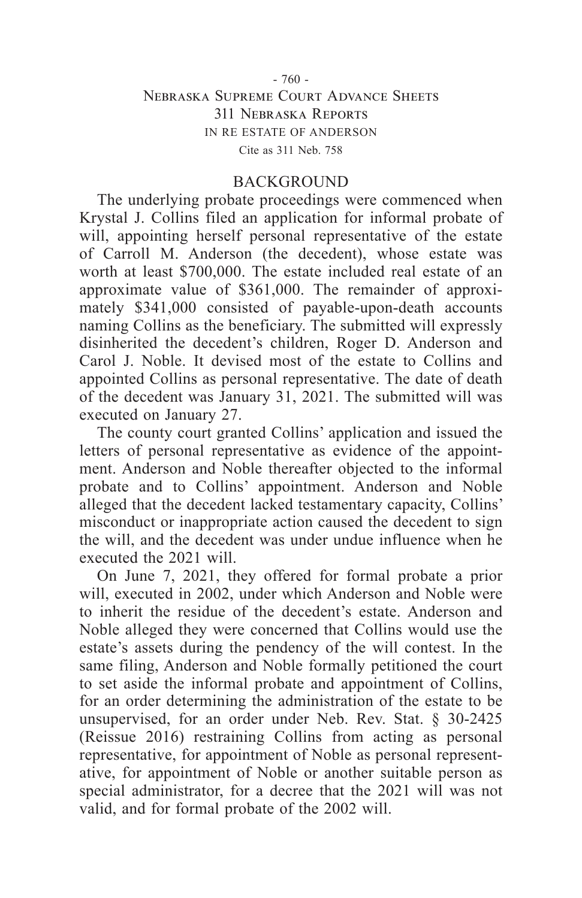## - 760 - Nebraska Supreme Court Advance Sheets 311 Nebraska Reports IN RE ESTATE OF ANDERSON Cite as 311 Neb. 758

## BACKGROUND

The underlying probate proceedings were commenced when Krystal J. Collins filed an application for informal probate of will, appointing herself personal representative of the estate of Carroll M. Anderson (the decedent), whose estate was worth at least \$700,000. The estate included real estate of an approximate value of \$361,000. The remainder of approximately \$341,000 consisted of payable-upon-death accounts naming Collins as the beneficiary. The submitted will expressly disinherited the decedent's children, Roger D. Anderson and Carol J. Noble. It devised most of the estate to Collins and appointed Collins as personal representative. The date of death of the decedent was January 31, 2021. The submitted will was executed on January 27.

The county court granted Collins' application and issued the letters of personal representative as evidence of the appointment. Anderson and Noble thereafter objected to the informal probate and to Collins' appointment. Anderson and Noble alleged that the decedent lacked testamentary capacity, Collins' misconduct or inappropriate action caused the decedent to sign the will, and the decedent was under undue influence when he executed the 2021 will.

On June 7, 2021, they offered for formal probate a prior will, executed in 2002, under which Anderson and Noble were to inherit the residue of the decedent's estate. Anderson and Noble alleged they were concerned that Collins would use the estate's assets during the pendency of the will contest. In the same filing, Anderson and Noble formally petitioned the court to set aside the informal probate and appointment of Collins, for an order determining the administration of the estate to be unsupervised, for an order under Neb. Rev. Stat. § 30-2425 (Reissue 2016) restraining Collins from acting as personal representative, for appointment of Noble as personal representative, for appointment of Noble or another suitable person as special administrator, for a decree that the 2021 will was not valid, and for formal probate of the 2002 will.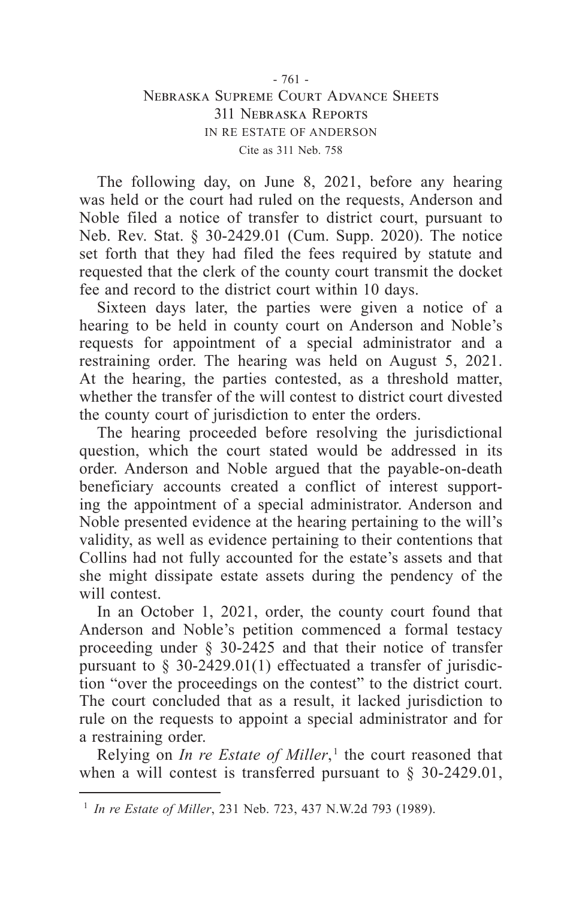## - 761 - Nebraska Supreme Court Advance Sheets 311 Nebraska Reports IN RE ESTATE OF ANDERSON Cite as 311 Neb. 758

The following day, on June 8, 2021, before any hearing was held or the court had ruled on the requests, Anderson and Noble filed a notice of transfer to district court, pursuant to Neb. Rev. Stat. § 30-2429.01 (Cum. Supp. 2020). The notice set forth that they had filed the fees required by statute and requested that the clerk of the county court transmit the docket fee and record to the district court within 10 days.

Sixteen days later, the parties were given a notice of a hearing to be held in county court on Anderson and Noble's requests for appointment of a special administrator and a restraining order. The hearing was held on August 5, 2021. At the hearing, the parties contested, as a threshold matter, whether the transfer of the will contest to district court divested the county court of jurisdiction to enter the orders.

The hearing proceeded before resolving the jurisdictional question, which the court stated would be addressed in its order. Anderson and Noble argued that the payable-on-death beneficiary accounts created a conflict of interest supporting the appointment of a special administrator. Anderson and Noble presented evidence at the hearing pertaining to the will's validity, as well as evidence pertaining to their contentions that Collins had not fully accounted for the estate's assets and that she might dissipate estate assets during the pendency of the will contest.

In an October 1, 2021, order, the county court found that Anderson and Noble's petition commenced a formal testacy proceeding under § 30-2425 and that their notice of transfer pursuant to  $\S$  30-2429.01(1) effectuated a transfer of jurisdiction "over the proceedings on the contest" to the district court. The court concluded that as a result, it lacked jurisdiction to rule on the requests to appoint a special administrator and for a restraining order.

Relying on *In re Estate of Miller*,<sup>1</sup> the court reasoned that when a will contest is transferred pursuant to  $\S$  30-2429.01,

<sup>1</sup> *In re Estate of Miller*, 231 Neb. 723, 437 N.W.2d 793 (1989).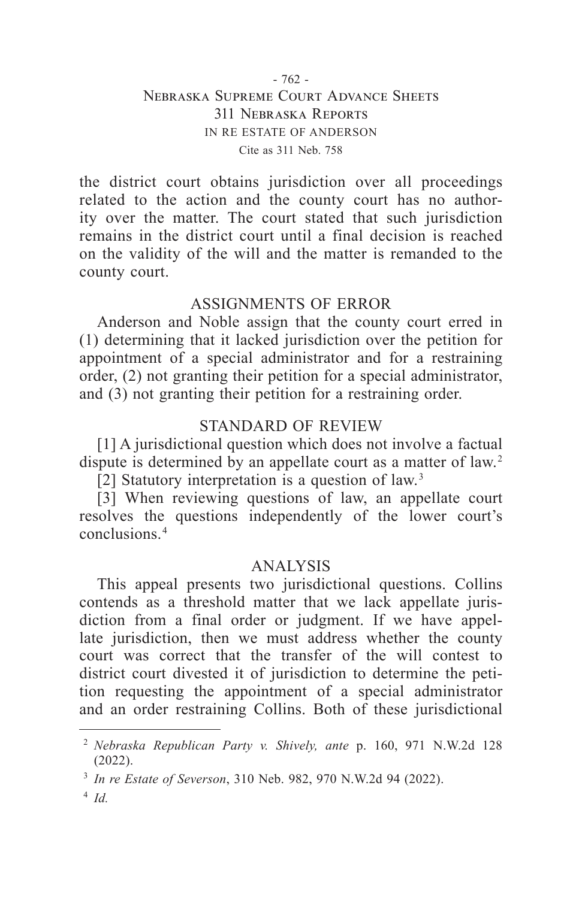## - 762 - Nebraska Supreme Court Advance Sheets 311 Nebraska Reports IN RE ESTATE OF ANDERSON Cite as 311 Neb. 758

the district court obtains jurisdiction over all proceedings related to the action and the county court has no authority over the matter. The court stated that such jurisdiction remains in the district court until a final decision is reached on the validity of the will and the matter is remanded to the county court.

# ASSIGNMENTS OF ERROR

Anderson and Noble assign that the county court erred in (1) determining that it lacked jurisdiction over the petition for appointment of a special administrator and for a restraining order, (2) not granting their petition for a special administrator, and (3) not granting their petition for a restraining order.

# STANDARD OF REVIEW

[1] A jurisdictional question which does not involve a factual dispute is determined by an appellate court as a matter of law. 2

[2] Statutory interpretation is a question of law.<sup>3</sup>

[3] When reviewing questions of law, an appellate court resolves the questions independently of the lower court's conclusions. 4

# ANALYSIS

This appeal presents two jurisdictional questions. Collins contends as a threshold matter that we lack appellate jurisdiction from a final order or judgment. If we have appellate jurisdiction, then we must address whether the county court was correct that the transfer of the will contest to district court divested it of jurisdiction to determine the petition requesting the appointment of a special administrator and an order restraining Collins. Both of these jurisdictional

<sup>2</sup> *Nebraska Republican Party v. Shively, ante* p. 160, 971 N.W.2d 128 (2022).

<sup>3</sup> *In re Estate of Severson*, 310 Neb. 982, 970 N.W.2d 94 (2022).

<sup>4</sup> *Id.*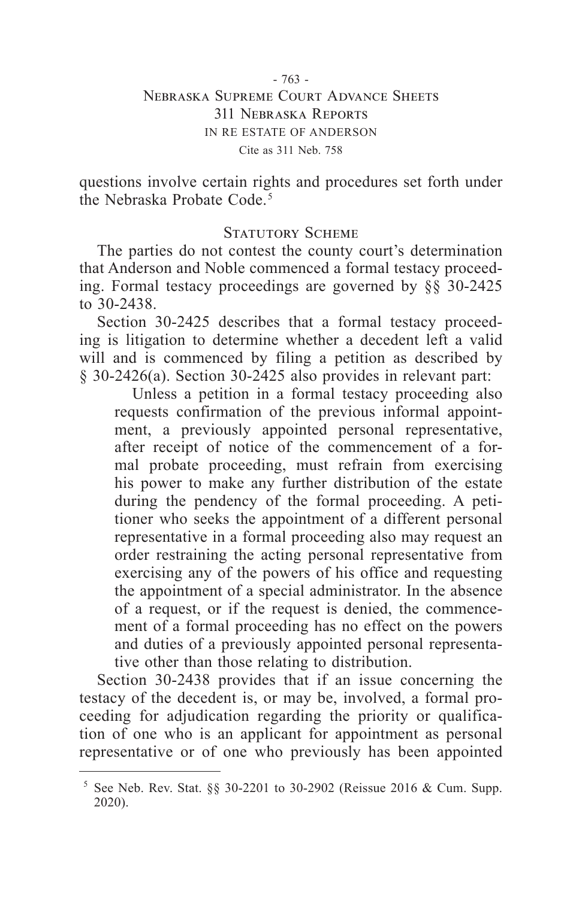#### - 763 - Nebraska Supreme Court Advance Sheets 311 Nebraska Reports IN RE ESTATE OF ANDERSON Cite as 311 Neb. 758

questions involve certain rights and procedures set forth under the Nebraska Probate Code. 5

## STATUTORY SCHEME

The parties do not contest the county court's determination that Anderson and Noble commenced a formal testacy proceeding. Formal testacy proceedings are governed by §§ 30-2425 to 30-2438.

Section 30-2425 describes that a formal testacy proceeding is litigation to determine whether a decedent left a valid will and is commenced by filing a petition as described by § 30-2426(a). Section 30-2425 also provides in relevant part:

Unless a petition in a formal testacy proceeding also requests confirmation of the previous informal appointment, a previously appointed personal representative, after receipt of notice of the commencement of a formal probate proceeding, must refrain from exercising his power to make any further distribution of the estate during the pendency of the formal proceeding. A petitioner who seeks the appointment of a different personal representative in a formal proceeding also may request an order restraining the acting personal representative from exercising any of the powers of his office and requesting the appointment of a special administrator. In the absence of a request, or if the request is denied, the commencement of a formal proceeding has no effect on the powers and duties of a previously appointed personal representative other than those relating to distribution.

Section 30-2438 provides that if an issue concerning the testacy of the decedent is, or may be, involved, a formal proceeding for adjudication regarding the priority or qualification of one who is an applicant for appointment as personal representative or of one who previously has been appointed

<sup>&</sup>lt;sup>5</sup> See Neb. Rev. Stat. §§ 30-2201 to 30-2902 (Reissue 2016 & Cum. Supp. 2020).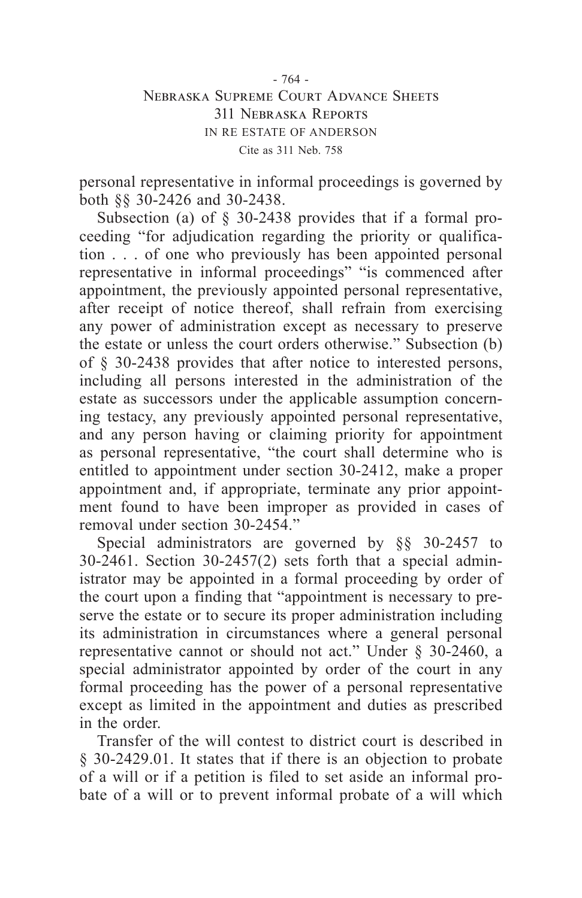## - 764 - Nebraska Supreme Court Advance Sheets 311 Nebraska Reports IN RE ESTATE OF ANDERSON Cite as 311 Neb. 758

personal representative in informal proceedings is governed by both §§ 30-2426 and 30-2438.

Subsection (a) of § 30-2438 provides that if a formal proceeding "for adjudication regarding the priority or qualification . . . of one who previously has been appointed personal representative in informal proceedings" "is commenced after appointment, the previously appointed personal representative, after receipt of notice thereof, shall refrain from exercising any power of administration except as necessary to preserve the estate or unless the court orders otherwise." Subsection (b) of § 30-2438 provides that after notice to interested persons, including all persons interested in the administration of the estate as successors under the applicable assumption concerning testacy, any previously appointed personal representative, and any person having or claiming priority for appointment as personal representative, "the court shall determine who is entitled to appointment under section 30-2412, make a proper appointment and, if appropriate, terminate any prior appointment found to have been improper as provided in cases of removal under section 30-2454."

Special administrators are governed by §§ 30-2457 to 30-2461. Section 30-2457(2) sets forth that a special administrator may be appointed in a formal proceeding by order of the court upon a finding that "appointment is necessary to preserve the estate or to secure its proper administration including its administration in circumstances where a general personal representative cannot or should not act." Under § 30-2460, a special administrator appointed by order of the court in any formal proceeding has the power of a personal representative except as limited in the appointment and duties as prescribed in the order.

Transfer of the will contest to district court is described in § 30-2429.01. It states that if there is an objection to probate of a will or if a petition is filed to set aside an informal probate of a will or to prevent informal probate of a will which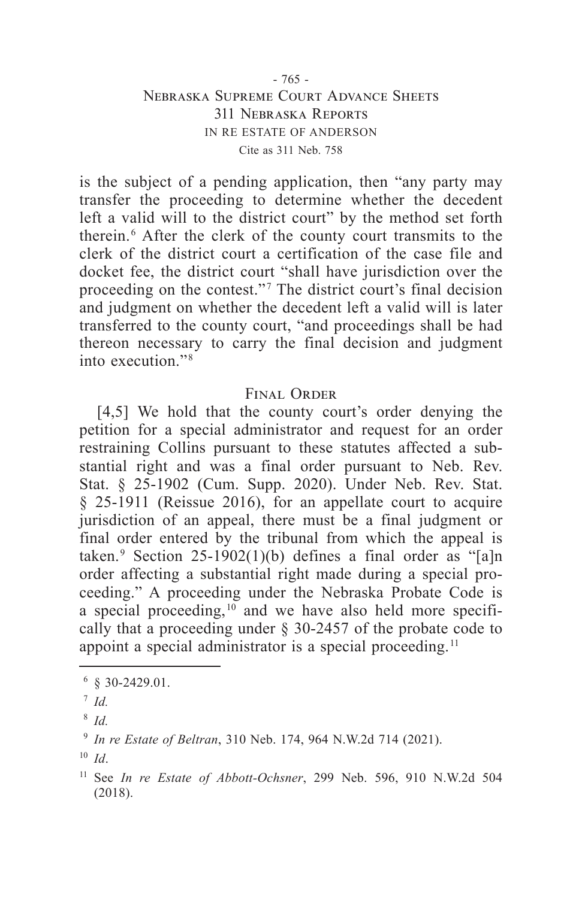## - 765 - Nebraska Supreme Court Advance Sheets 311 Nebraska Reports IN RE ESTATE OF ANDERSON Cite as 311 Neb. 758

is the subject of a pending application, then "any party may transfer the proceeding to determine whether the decedent left a valid will to the district court" by the method set forth therein. 6 After the clerk of the county court transmits to the clerk of the district court a certification of the case file and docket fee, the district court "shall have jurisdiction over the proceeding on the contest."<sup>7</sup> The district court's final decision and judgment on whether the decedent left a valid will is later transferred to the county court, "and proceedings shall be had thereon necessary to carry the final decision and judgment into execution." 8

## Final Order

[4,5] We hold that the county court's order denying the petition for a special administrator and request for an order restraining Collins pursuant to these statutes affected a substantial right and was a final order pursuant to Neb. Rev. Stat. § 25-1902 (Cum. Supp. 2020). Under Neb. Rev. Stat. § 25-1911 (Reissue 2016), for an appellate court to acquire jurisdiction of an appeal, there must be a final judgment or final order entered by the tribunal from which the appeal is taken.<sup>9</sup> Section 25-1902(1)(b) defines a final order as "[a]n order affecting a substantial right made during a special proceeding." A proceeding under the Nebraska Probate Code is a special proceeding, $10$  and we have also held more specifically that a proceeding under § 30-2457 of the probate code to appoint a special administrator is a special proceeding. 11

 $6830 - 2429.01$ .

<sup>7</sup> *Id.*

<sup>8</sup> *Id.*

<sup>9</sup> *In re Estate of Beltran*, 310 Neb. 174, 964 N.W.2d 714 (2021).

 $10$  *Id*.

<sup>11</sup> See *In re Estate of Abbott-Ochsner*, 299 Neb. 596, 910 N.W.2d 504 (2018).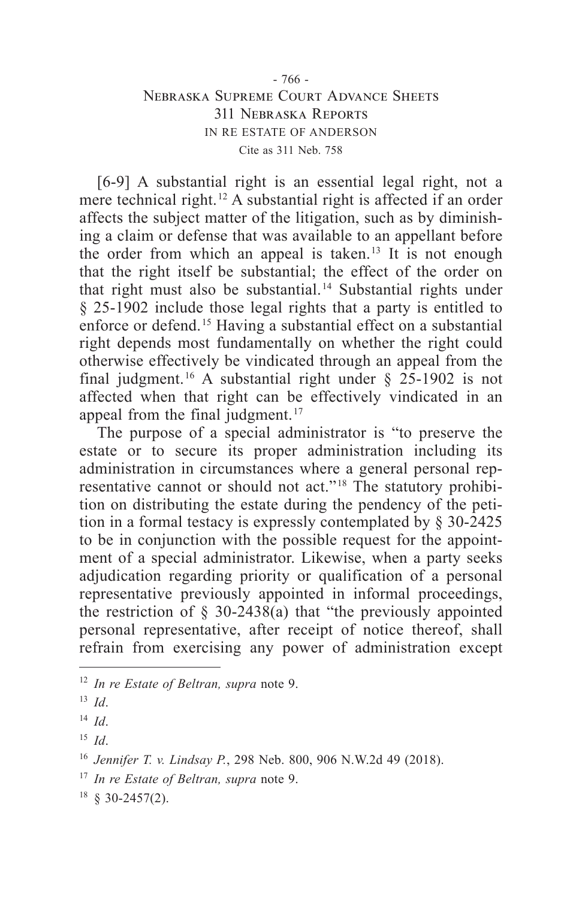## - 766 - Nebraska Supreme Court Advance Sheets 311 Nebraska Reports IN RE ESTATE OF ANDERSON Cite as 311 Neb. 758

[6-9] A substantial right is an essential legal right, not a mere technical right. 12 A substantial right is affected if an order affects the subject matter of the litigation, such as by diminishing a claim or defense that was available to an appellant before the order from which an appeal is taken.<sup>13</sup> It is not enough that the right itself be substantial; the effect of the order on that right must also be substantial. 14 Substantial rights under § 25-1902 include those legal rights that a party is entitled to enforce or defend. 15 Having a substantial effect on a substantial right depends most fundamentally on whether the right could otherwise effectively be vindicated through an appeal from the final judgment.<sup>16</sup> A substantial right under  $\S$  25-1902 is not affected when that right can be effectively vindicated in an appeal from the final judgment. 17

The purpose of a special administrator is "to preserve the estate or to secure its proper administration including its administration in circumstances where a general personal representative cannot or should not act."<sup>18</sup> The statutory prohibition on distributing the estate during the pendency of the petition in a formal testacy is expressly contemplated by § 30-2425 to be in conjunction with the possible request for the appointment of a special administrator. Likewise, when a party seeks adjudication regarding priority or qualification of a personal representative previously appointed in informal proceedings, the restriction of  $\S$  30-2438(a) that "the previously appointed personal representative, after receipt of notice thereof, shall refrain from exercising any power of administration except

<sup>12</sup> *In re Estate of Beltran, supra* note 9.

<sup>13</sup> *Id*.

<sup>14</sup> *Id*.

<sup>15</sup> *Id*.

<sup>16</sup> *Jennifer T. v. Lindsay P.*, 298 Neb. 800, 906 N.W.2d 49 (2018).

<sup>17</sup> *In re Estate of Beltran, supra* note 9.

 $18 \& 30 - 2457(2)$ .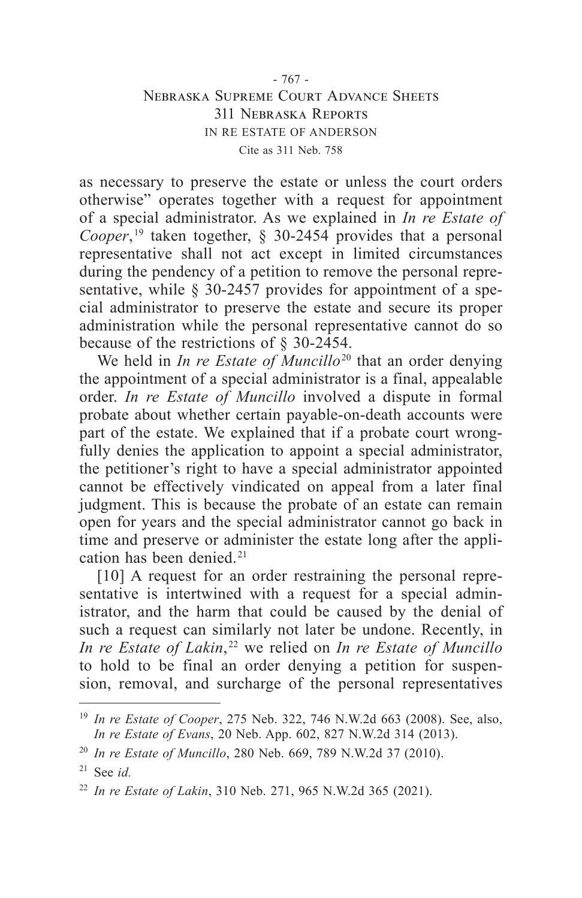## - 767 - Nebraska Supreme Court Advance Sheets 311 Nebraska Reports IN RE ESTATE OF ANDERSON Cite as 311 Neb. 758

as necessary to preserve the estate or unless the court orders otherwise" operates together with a request for appointment of a special administrator. As we explained in *In re Estate of*  Cooper,<sup>19</sup> taken together,  $\S$  30-2454 provides that a personal representative shall not act except in limited circumstances during the pendency of a petition to remove the personal representative, while § 30-2457 provides for appointment of a special administrator to preserve the estate and secure its proper administration while the personal representative cannot do so because of the restrictions of § 30-2454.

We held in *In re Estate of Muncillo*<sup>20</sup> that an order denying the appointment of a special administrator is a final, appealable order. *In re Estate of Muncillo* involved a dispute in formal probate about whether certain payable-on-death accounts were part of the estate. We explained that if a probate court wrongfully denies the application to appoint a special administrator, the petitioner's right to have a special administrator appointed cannot be effectively vindicated on appeal from a later final judgment. This is because the probate of an estate can remain open for years and the special administrator cannot go back in time and preserve or administer the estate long after the application has been denied. 21

[10] A request for an order restraining the personal representative is intertwined with a request for a special administrator, and the harm that could be caused by the denial of such a request can similarly not later be undone. Recently, in *In re Estate of Lakin*,<sup>22</sup> we relied on *In re Estate of Muncillo* to hold to be final an order denying a petition for suspension, removal, and surcharge of the personal representatives

<sup>19</sup> *In re Estate of Cooper*, 275 Neb. 322, 746 N.W.2d 663 (2008). See, also, *In re Estate of Evans*, 20 Neb. App. 602, 827 N.W.2d 314 (2013).

<sup>20</sup> *In re Estate of Muncillo*, 280 Neb. 669, 789 N.W.2d 37 (2010).

<sup>21</sup> See *id.*

<sup>22</sup> *In re Estate of Lakin*, 310 Neb. 271, 965 N.W.2d 365 (2021).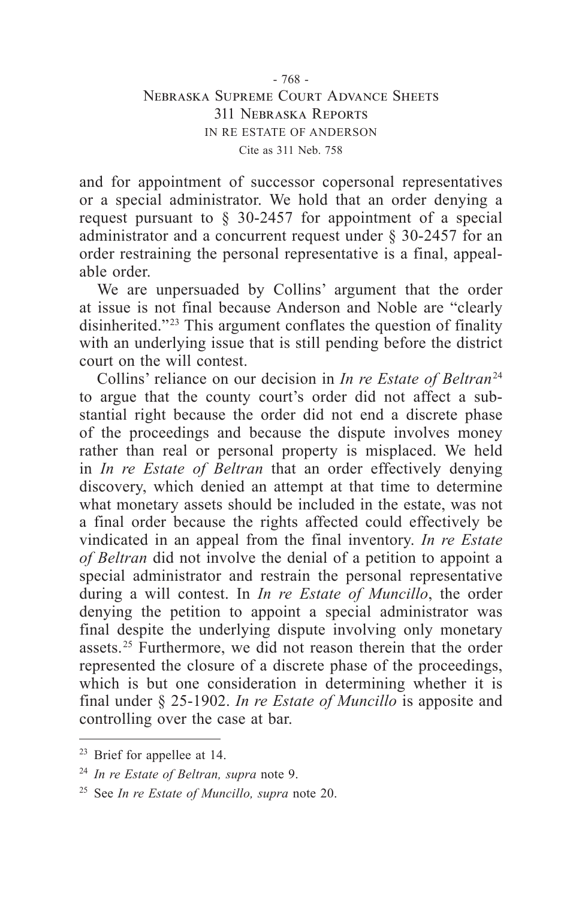## - 768 - Nebraska Supreme Court Advance Sheets 311 Nebraska Reports IN RE ESTATE OF ANDERSON Cite as 311 Neb. 758

and for appointment of successor copersonal representatives or a special administrator. We hold that an order denying a request pursuant to § 30-2457 for appointment of a special administrator and a concurrent request under § 30-2457 for an order restraining the personal representative is a final, appealable order.

We are unpersuaded by Collins' argument that the order at issue is not final because Anderson and Noble are "clearly disinherited."<sup>23</sup> This argument conflates the question of finality with an underlying issue that is still pending before the district court on the will contest.

Collins' reliance on our decision in *In re Estate of Beltran*<sup>24</sup> to argue that the county court's order did not affect a substantial right because the order did not end a discrete phase of the proceedings and because the dispute involves money rather than real or personal property is misplaced. We held in *In re Estate of Beltran* that an order effectively denying discovery, which denied an attempt at that time to determine what monetary assets should be included in the estate, was not a final order because the rights affected could effectively be vindicated in an appeal from the final inventory. *In re Estate of Beltran* did not involve the denial of a petition to appoint a special administrator and restrain the personal representative during a will contest. In *In re Estate of Muncillo*, the order denying the petition to appoint a special administrator was final despite the underlying dispute involving only monetary assets. 25 Furthermore, we did not reason therein that the order represented the closure of a discrete phase of the proceedings, which is but one consideration in determining whether it is final under § 25-1902. *In re Estate of Muncillo* is apposite and controlling over the case at bar.

<sup>&</sup>lt;sup>23</sup> Brief for appellee at 14.

<sup>24</sup> *In re Estate of Beltran, supra* note 9.

<sup>25</sup> See *In re Estate of Muncillo, supra* note 20.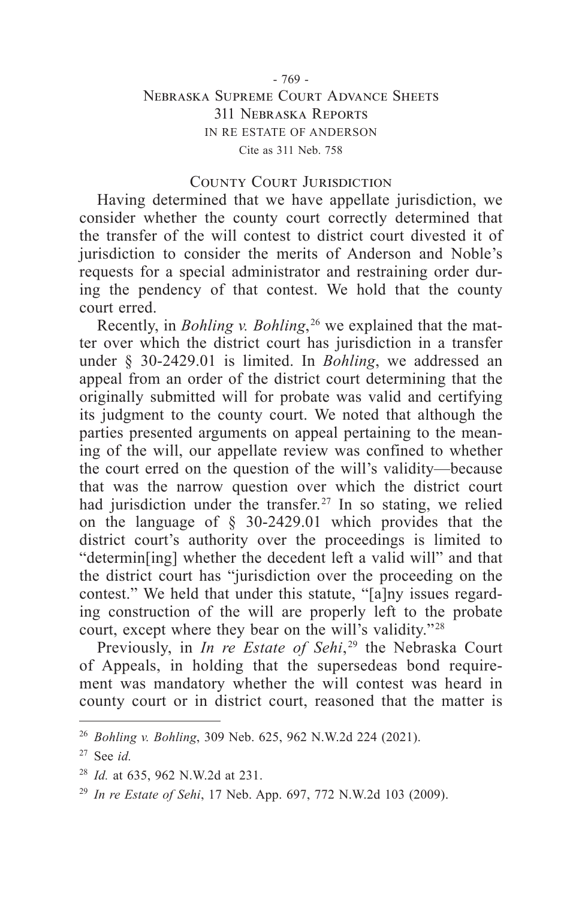## - 769 - Nebraska Supreme Court Advance Sheets 311 Nebraska Reports IN RE ESTATE OF ANDERSON Cite as 311 Neb. 758

#### County Court Jurisdiction

Having determined that we have appellate jurisdiction, we consider whether the county court correctly determined that the transfer of the will contest to district court divested it of jurisdiction to consider the merits of Anderson and Noble's requests for a special administrator and restraining order during the pendency of that contest. We hold that the county court erred.

Recently, in *Bohling v. Bohling*,  26 we explained that the matter over which the district court has jurisdiction in a transfer under § 30-2429.01 is limited. In *Bohling*, we addressed an appeal from an order of the district court determining that the originally submitted will for probate was valid and certifying its judgment to the county court. We noted that although the parties presented arguments on appeal pertaining to the meaning of the will, our appellate review was confined to whether the court erred on the question of the will's validity—because that was the narrow question over which the district court had jurisdiction under the transfer.<sup>27</sup> In so stating, we relied on the language of § 30-2429.01 which provides that the district court's authority over the proceedings is limited to "determin[ing] whether the decedent left a valid will" and that the district court has "jurisdiction over the proceeding on the contest." We held that under this statute, "[a]ny issues regarding construction of the will are properly left to the probate court, except where they bear on the will's validity."<sup>28</sup>

Previously, in *In re Estate of Sehi*,  29 the Nebraska Court of Appeals, in holding that the supersedeas bond requirement was mandatory whether the will contest was heard in county court or in district court, reasoned that the matter is

<sup>26</sup> *Bohling v. Bohling*, 309 Neb. 625, 962 N.W.2d 224 (2021).

<sup>27</sup> See *id.*

<sup>28</sup> *Id.* at 635, 962 N.W.2d at 231.

<sup>29</sup> *In re Estate of Sehi*, 17 Neb. App. 697, 772 N.W.2d 103 (2009).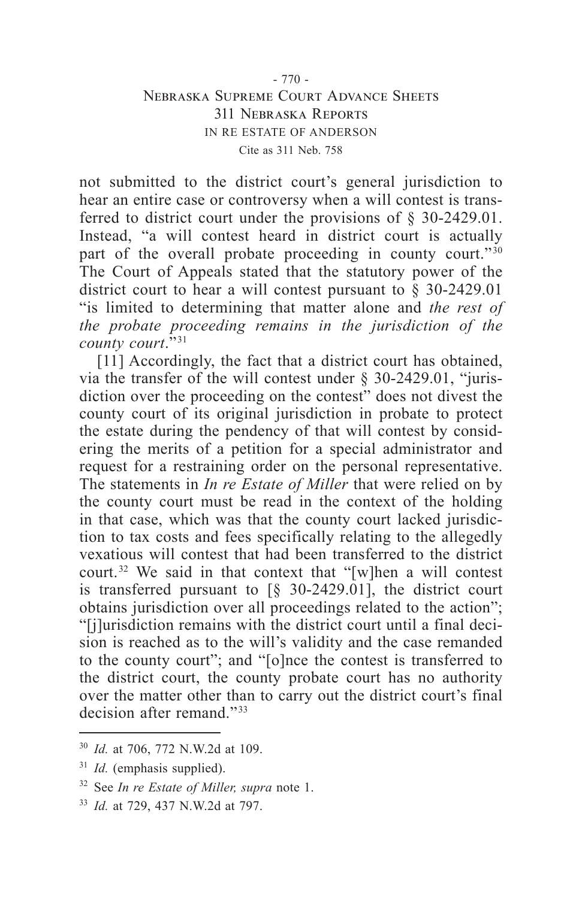## - 770 - Nebraska Supreme Court Advance Sheets 311 Nebraska Reports IN RE ESTATE OF ANDERSON Cite as 311 Neb. 758

not submitted to the district court's general jurisdiction to hear an entire case or controversy when a will contest is transferred to district court under the provisions of § 30-2429.01. Instead, "a will contest heard in district court is actually part of the overall probate proceeding in county court." $30$ The Court of Appeals stated that the statutory power of the district court to hear a will contest pursuant to § 30-2429.01 "is limited to determining that matter alone and *the rest of the probate proceeding remains in the jurisdiction of the county court*." 31

[11] Accordingly, the fact that a district court has obtained, via the transfer of the will contest under § 30-2429.01, "jurisdiction over the proceeding on the contest" does not divest the county court of its original jurisdiction in probate to protect the estate during the pendency of that will contest by considering the merits of a petition for a special administrator and request for a restraining order on the personal representative. The statements in *In re Estate of Miller* that were relied on by the county court must be read in the context of the holding in that case, which was that the county court lacked jurisdiction to tax costs and fees specifically relating to the allegedly vexatious will contest that had been transferred to the district court. 32 We said in that context that "[w]hen a will contest is transferred pursuant to  $\lceil \S \rceil$  30-2429.01], the district court obtains jurisdiction over all proceedings related to the action"; "[j]urisdiction remains with the district court until a final decision is reached as to the will's validity and the case remanded to the county court"; and "[o]nce the contest is transferred to the district court, the county probate court has no authority over the matter other than to carry out the district court's final decision after remand."<sup>33</sup>

<sup>30</sup> *Id.* at 706, 772 N.W.2d at 109.

<sup>&</sup>lt;sup>31</sup> *Id.* (emphasis supplied).

<sup>32</sup> See *In re Estate of Miller, supra* note 1.

<sup>33</sup> *Id.* at 729, 437 N.W.2d at 797.